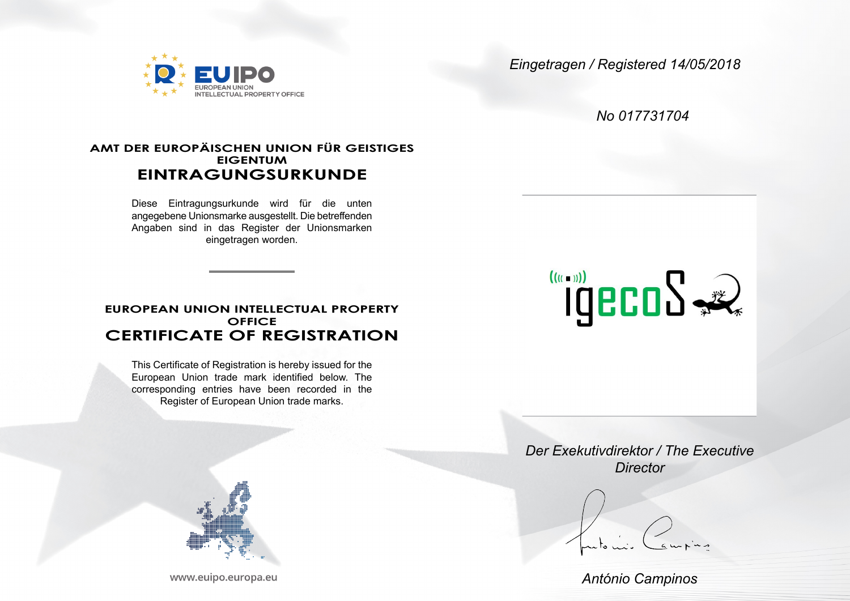

*Eingetragen / Registered 14/05/2018*

*No 017731704*

# **AMT DER EUROPÄISCHEN UNION FÜR GEISTIGES EIGENTUM EINTRAGUNGSURKUNDE**

Diese Eintragungsurkunde wird für die unten angegebene Unionsmarke ausgestellt. Die betreffenden Angaben sind in das Register der Unionsmarken eingetragen worden.

# **EUROPEAN UNION INTELLECTUAL PROPERTY OFFICE CERTIFICATE OF REGISTRATION**

This Certificate of Registration is hereby issued for the European Union trade mark identified below. The corresponding entries have been recorded in the Register of European Union trade marks.



*Der Exekutivdirektor / The Executive Director*

*António Campinos*



www.euipo.europa.eu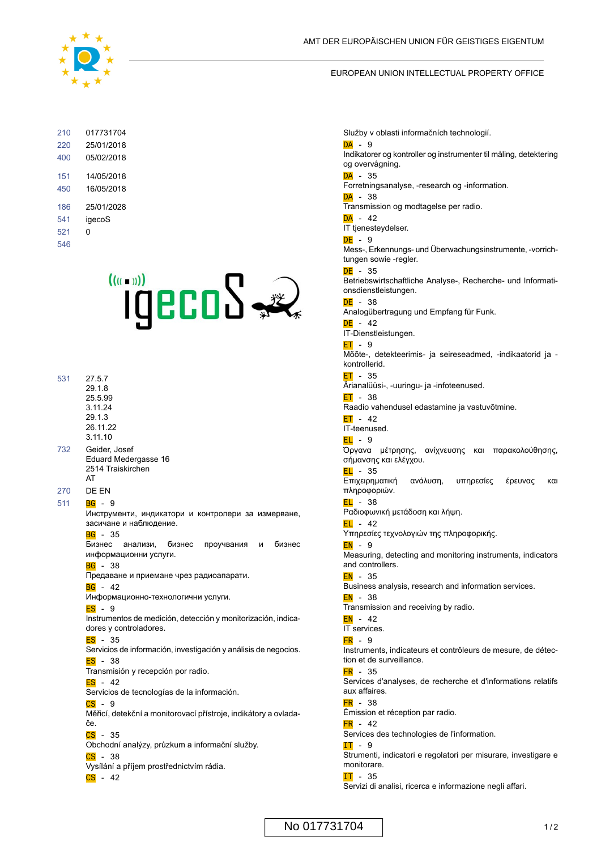

#### EUROPEAN UNION INTELLECTUAL PROPERTY OFFICE

| 210<br>220<br>400 | 017731704<br>25/01/2018<br>05/02/2018 |
|-------------------|---------------------------------------|
| 151<br>450        | 14/05/2018<br>16/05/2018              |
| 186               | 25/01/2028                            |
| 541               | igecoS                                |
| 521               | n                                     |
| 546               |                                       |



| 531 | 27.5.7   |
|-----|----------|
|     | 29 1 8   |
|     | 25.5.99  |
|     | 3 11 24  |
|     | 29.1.3   |
|     | 26 11 22 |
|     | 3.11.10  |

- 732 Geider, Josef Eduard Medergasse 16 2514 Traiskirchen AT
- 270 DE EN
- **BG** 9 511

Инструменти, индикатори и контролери за измерване, засичане и наблюдение.

 $\overline{BG}$  - 35

Бизнес анализи, бизнес проучвания и бизнес информационни услуги.

 $BG - 38$ 

Предаване и приемане чрез радиоапарати.  $BG - 42$ 

Информационно-технологични услуги.

ES - 9

Instrumentos de medición, detección y monitorización, indicadores y controladores.

 $ES - 35$ 

Servicios de información, investigación y análisis de negocios.  $FS - 38$ 

- Transmisión y recepción por radio.
- $ES 42$

Servicios de tecnologías de la información.

 $CS - 9$ 

Měřicí, detekční a monitorovací přístroje, indikátory a ovladače.

 $CS - 35$ 

Obchodní analýzy, průzkum a informační služby.

 $CS - 38$ 

Vysílání a příjem prostřednictvím rádia.

 $CS - 42$ 

Služby v oblasti informačních technologií.

#### $DA - 9$

Indikatorer og kontroller og instrumenter til måling, detektering og overvågning.

## $DA - 35$

Forretningsanalyse, -research og -information.

## $DA - 38$

Transmission og modtagelse per radio.

### $\overline{DA}$  - 42

IT tjenesteydelser.

DE - 9 Mess-, Erkennungs- und Überwachungsinstrumente, -vorrichtungen sowie -regler.

#### $DE - 35$

Betriebswirtschaftliche Analyse-, Recherche- und Informationsdienstleistungen.

 $\overline{DE}$  - 38 Analogübertragung und Empfang für Funk.

 $DE - 42$ IT-Dienstleistungen.

## $ET - 9$

Mõõte-, detekteerimis- ja seireseadmed, -indikaatorid ja kontrollerid.

ET - 35 Ärianalüüsi-, -uuringu- ja -infoteenused.

 $ET - 38$ Raadio vahendusel edastamine ja vastuvõtmine.

## $ET - 42$

IT-teenused.

 $F1 - 9$ 

Όργανα μέτρησης, ανίχνευσης και παρακολούθησης, σήμανσης και ελέγχου.

 $EL - 35$ Επιχειρηματική ανάλυση, υπηρεσίες έρευνας και πληροφοριών.

 $EL - 38$ Ραδιοφωνική μετάδοση και λήψη.

 $EL - 42$ 

Υπηρεσίες τεχνολογιών της πληροφορικής.

EN - 9

Measuring, detecting and monitoring instruments, indicators and controllers.

 $EN - 35$ 

Business analysis, research and information services.

 $EN - 38$ 

Transmission and receiving by radio.

 $EN - 42$ IT services.

## $FR - 9$

Instruments, indicateurs et contrôleurs de mesure, de détection et de surveillance.

## $FR - 35$

Services d'analyses, de recherche et d'informations relatifs aux affaires.

FR - 38

Émission et réception par radio.

 $FR - 42$ Services des technologies de l'information.

#### $IT - 9$

Strumenti, indicatori e regolatori per misurare, investigare e monitorare.

IT - 35 Servizi di analisi, ricerca e informazione negli affari.